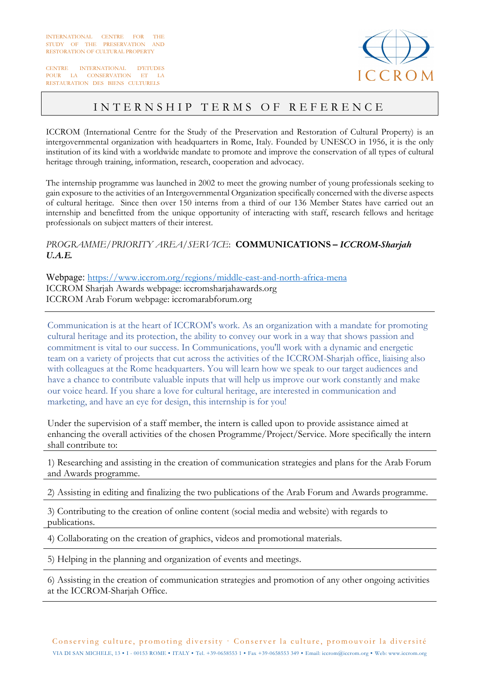CENTRE INTERNATIONAL D'ETUDES POUR LA CONSERVATION ET LA RESTAURATION DES BIENS CULTURELS



## INTERNSHIP TERMS OF REFERENCE

ICCROM (International Centre for the Study of the Preservation and Restoration of Cultural Property) is an intergovernmental organization with headquarters in Rome, Italy. Founded by UNESCO in 1956, it is the only institution of its kind with a worldwide mandate to promote and improve the conservation of all types of cultural heritage through training, information, research, cooperation and advocacy.

The internship programme was launched in 2002 to meet the growing number of young professionals seeking to gain exposure to the activities of an Intergovernmental Organization specifically concerned with the diverse aspects of cultural heritage. Since then over 150 interns from a third of our 136 Member States have carried out an internship and benefitted from the unique opportunity of interacting with staff, research fellows and heritage professionals on subject matters of their interest.

## *PROGRAMME/PRIORITY AREA/SERVICE*: **COMMUNICATIONS** *– ICCROM-Sharjah U.A.E.*

Webpage: https://www.iccrom.org/regions/middle-east-and-north-africa-mena ICCROM Sharjah Awards webpage: iccromsharjahawards.org ICCROM Arab Forum webpage: iccromarabforum.org

Communication is at the heart of ICCROM's work. As an organization with a mandate for promoting cultural heritage and its protection, the ability to convey our work in a way that shows passion and commitment is vital to our success. In Communications, you'll work with a dynamic and energetic team on a variety of projects that cut across the activities of the ICCROM-Sharjah office, liaising also with colleagues at the Rome headquarters. You will learn how we speak to our target audiences and have a chance to contribute valuable inputs that will help us improve our work constantly and make our voice heard. If you share a love for cultural heritage, are interested in communication and marketing, and have an eye for design, this internship is for you!

Under the supervision of a staff member, the intern is called upon to provide assistance aimed at enhancing the overall activities of the chosen Programme/Project/Service. More specifically the intern shall contribute to:

1) Researching and assisting in the creation of communication strategies and plans for the Arab Forum and Awards programme.

2) Assisting in editing and finalizing the two publications of the Arab Forum and Awards programme.

3) Contributing to the creation of online content (social media and website) with regards to publications.

4) Collaborating on the creation of graphics, videos and promotional materials.

5) Helping in the planning and organization of events and meetings.

6) Assisting in the creation of communication strategies and promotion of any other ongoing activities at the ICCROM-Sharjah Office.